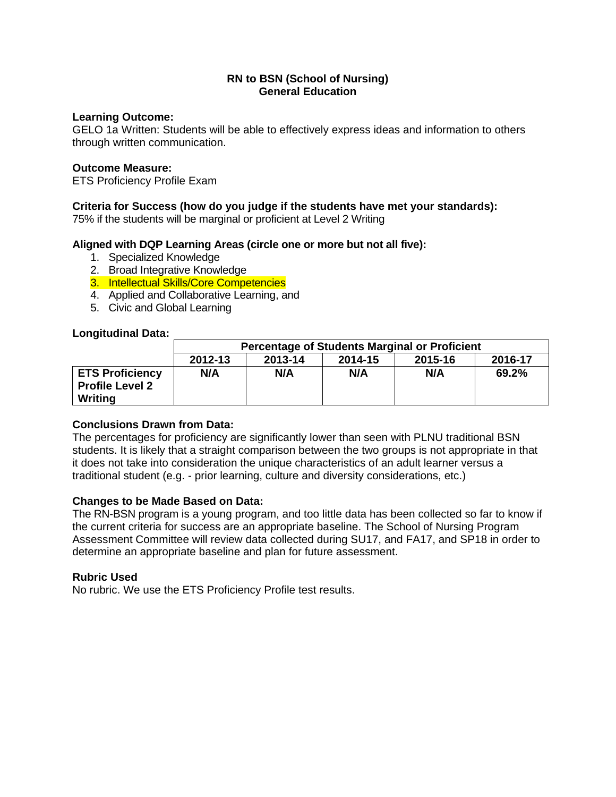## **Learning Outcome:**

GELO 1a Written: Students will be able to effectively express ideas and information to others through written communication.

#### **Outcome Measure:**

ETS Proficiency Profile Exam

## **Criteria for Success (how do you judge if the students have met your standards):**

75% if the students will be marginal or proficient at Level 2 Writing

## **Aligned with DQP Learning Areas (circle one or more but not all five):**

- 1. Specialized Knowledge
- 2. Broad Integrative Knowledge
- 3. Intellectual Skills/Core Competencies
- 4. Applied and Collaborative Learning, and
- 5. Civic and Global Learning

#### **Longitudinal Data:**

|                                                             | <b>Percentage of Students Marginal or Proficient</b> |         |         |         |         |
|-------------------------------------------------------------|------------------------------------------------------|---------|---------|---------|---------|
|                                                             | 2012-13                                              | 2013-14 | 2014-15 | 2015-16 | 2016-17 |
| <b>ETS Proficiency</b><br><b>Profile Level 2</b><br>Writing | N/A                                                  | N/A     | N/A     | N/A     | 69.2%   |

#### **Conclusions Drawn from Data:**

The percentages for proficiency are significantly lower than seen with PLNU traditional BSN students. It is likely that a straight comparison between the two groups is not appropriate in that it does not take into consideration the unique characteristics of an adult learner versus a traditional student (e.g. - prior learning, culture and diversity considerations, etc.)

## **Changes to be Made Based on Data:**

The RN-BSN program is a young program, and too little data has been collected so far to know if the current criteria for success are an appropriate baseline. The School of Nursing Program Assessment Committee will review data collected during SU17, and FA17, and SP18 in order to determine an appropriate baseline and plan for future assessment.

#### **Rubric Used**

No rubric. We use the ETS Proficiency Profile test results.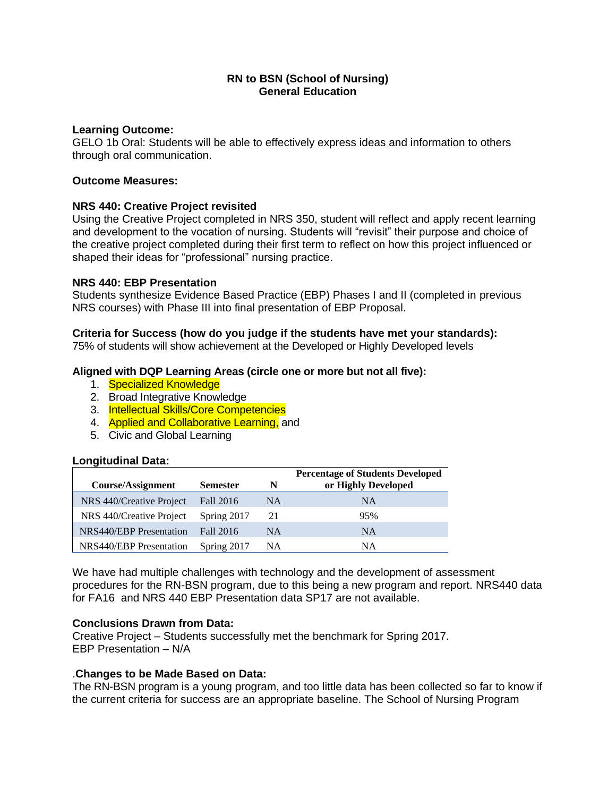## **Learning Outcome:**

GELO 1b Oral: Students will be able to effectively express ideas and information to others through oral communication.

## **Outcome Measures:**

# **NRS 440: Creative Project revisited**

Using the Creative Project completed in NRS 350, student will reflect and apply recent learning and development to the vocation of nursing. Students will "revisit" their purpose and choice of the creative project completed during their first term to reflect on how this project influenced or shaped their ideas for "professional" nursing practice.

## **NRS 440: EBP Presentation**

Students synthesize Evidence Based Practice (EBP) Phases I and II (completed in previous NRS courses) with Phase III into final presentation of EBP Proposal.

## **Criteria for Success (how do you judge if the students have met your standards):**

75% of students will show achievement at the Developed or Highly Developed levels

## **Aligned with DQP Learning Areas (circle one or more but not all five):**

- 1. Specialized Knowledge
- 2. Broad Integrative Knowledge
- 3. Intellectual Skills/Core Competencies
- 4. **Applied and Collaborative Learning, and**
- 5. Civic and Global Learning

## **Longitudinal Data:**

| Course/Assignment              | <b>Semester</b> | N         | <b>Percentage of Students Developed</b><br>or Highly Developed |
|--------------------------------|-----------------|-----------|----------------------------------------------------------------|
| NRS 440/Creative Project       | Fall 2016       | NA        | <b>NA</b>                                                      |
| NRS 440/Creative Project       | Spring 2017     | 21        | 95%                                                            |
| <b>NRS440/EBP</b> Presentation | Fall 2016       | <b>NA</b> | <b>NA</b>                                                      |
| NRS440/EBP Presentation        | Spring 2017     | NA        | NΑ                                                             |

We have had multiple challenges with technology and the development of assessment procedures for the RN-BSN program, due to this being a new program and report. NRS440 data for FA16 and NRS 440 EBP Presentation data SP17 are not available.

# **Conclusions Drawn from Data:**

Creative Project – Students successfully met the benchmark for Spring 2017. EBP Presentation – N/A

## .**Changes to be Made Based on Data:**

The RN-BSN program is a young program, and too little data has been collected so far to know if the current criteria for success are an appropriate baseline. The School of Nursing Program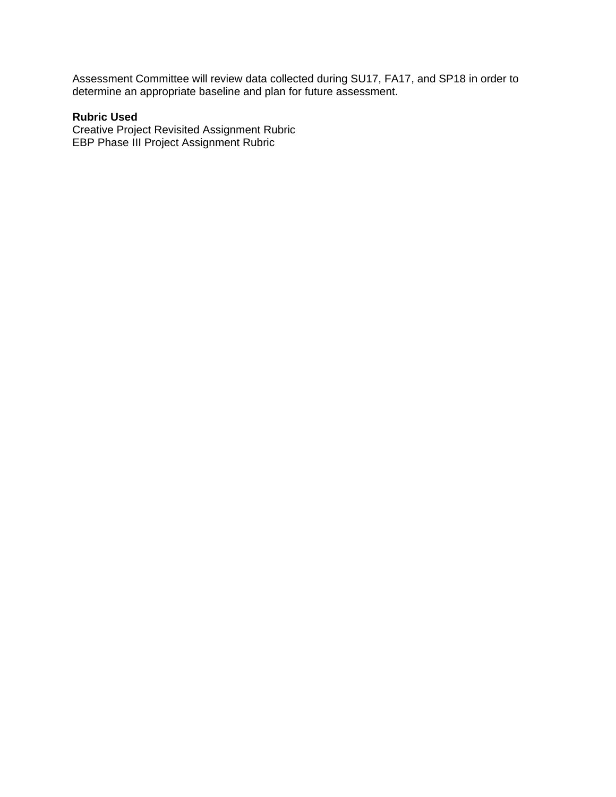Assessment Committee will review data collected during SU17, FA17, and SP18 in order to determine an appropriate baseline and plan for future assessment.

# **Rubric Used**

Creative Project Revisited Assignment Rubric EBP Phase III Project Assignment Rubric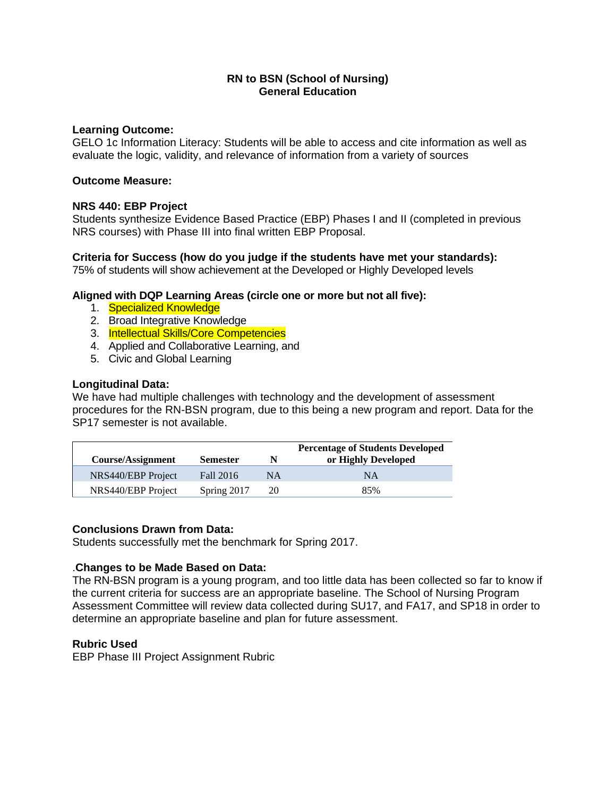## **Learning Outcome:**

GELO 1c Information Literacy: Students will be able to access and cite information as well as evaluate the logic, validity, and relevance of information from a variety of sources

## **Outcome Measure:**

## **NRS 440: EBP Project**

Students synthesize Evidence Based Practice (EBP) Phases I and II (completed in previous NRS courses) with Phase III into final written EBP Proposal.

# **Criteria for Success (how do you judge if the students have met your standards):**

75% of students will show achievement at the Developed or Highly Developed levels

# **Aligned with DQP Learning Areas (circle one or more but not all five):**

- 1. Specialized Knowledge
- 2. Broad Integrative Knowledge
- 3. Intellectual Skills/Core Competencies
- 4. Applied and Collaborative Learning, and
- 5. Civic and Global Learning

## **Longitudinal Data:**

We have had multiple challenges with technology and the development of assessment procedures for the RN-BSN program, due to this being a new program and report. Data for the SP17 semester is not available.

| <b>Course/Assignment</b> | <b>Semester</b> | N  | <b>Percentage of Students Developed</b><br>or Highly Developed |
|--------------------------|-----------------|----|----------------------------------------------------------------|
| NRS440/EBP Project       | Fall 2016       | NA | <b>NA</b>                                                      |
| NRS440/EBP Project       | Spring 2017     | 20 | 85%                                                            |

# **Conclusions Drawn from Data:**

Students successfully met the benchmark for Spring 2017.

# .**Changes to be Made Based on Data:**

The RN-BSN program is a young program, and too little data has been collected so far to know if the current criteria for success are an appropriate baseline. The School of Nursing Program Assessment Committee will review data collected during SU17, and FA17, and SP18 in order to determine an appropriate baseline and plan for future assessment.

## **Rubric Used**

EBP Phase III Project Assignment Rubric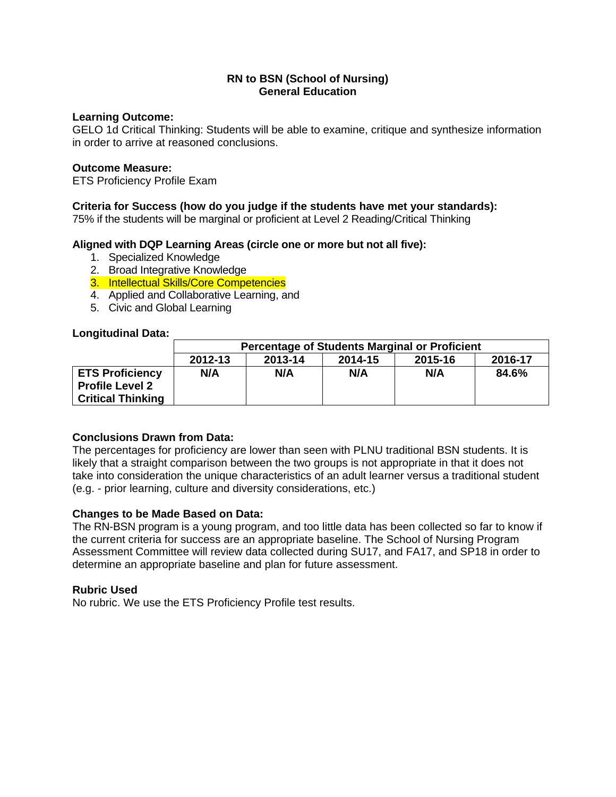#### **Learning Outcome:**

GELO 1d Critical Thinking: Students will be able to examine, critique and synthesize information in order to arrive at reasoned conclusions.

#### **Outcome Measure:**

ETS Proficiency Profile Exam

## **Criteria for Success (how do you judge if the students have met your standards):**

75% if the students will be marginal or proficient at Level 2 Reading/Critical Thinking

## **Aligned with DQP Learning Areas (circle one or more but not all five):**

- 1. Specialized Knowledge
- 2. Broad Integrative Knowledge
- 3. Intellectual Skills/Core Competencies
- 4. Applied and Collaborative Learning, and
- 5. Civic and Global Learning

#### **Longitudinal Data:**

|                          | <b>Percentage of Students Marginal or Proficient</b> |         |         |         |         |
|--------------------------|------------------------------------------------------|---------|---------|---------|---------|
|                          | 2012-13                                              | 2013-14 | 2014-15 | 2015-16 | 2016-17 |
| <b>ETS Proficiency</b>   | N/A                                                  | N/A     | N/A     | N/A     | 84.6%   |
| <b>Profile Level 2</b>   |                                                      |         |         |         |         |
| <b>Critical Thinking</b> |                                                      |         |         |         |         |

## **Conclusions Drawn from Data:**

The percentages for proficiency are lower than seen with PLNU traditional BSN students. It is likely that a straight comparison between the two groups is not appropriate in that it does not take into consideration the unique characteristics of an adult learner versus a traditional student (e.g. - prior learning, culture and diversity considerations, etc.)

## **Changes to be Made Based on Data:**

The RN-BSN program is a young program, and too little data has been collected so far to know if the current criteria for success are an appropriate baseline. The School of Nursing Program Assessment Committee will review data collected during SU17, and FA17, and SP18 in order to determine an appropriate baseline and plan for future assessment.

#### **Rubric Used**

No rubric. We use the ETS Proficiency Profile test results.